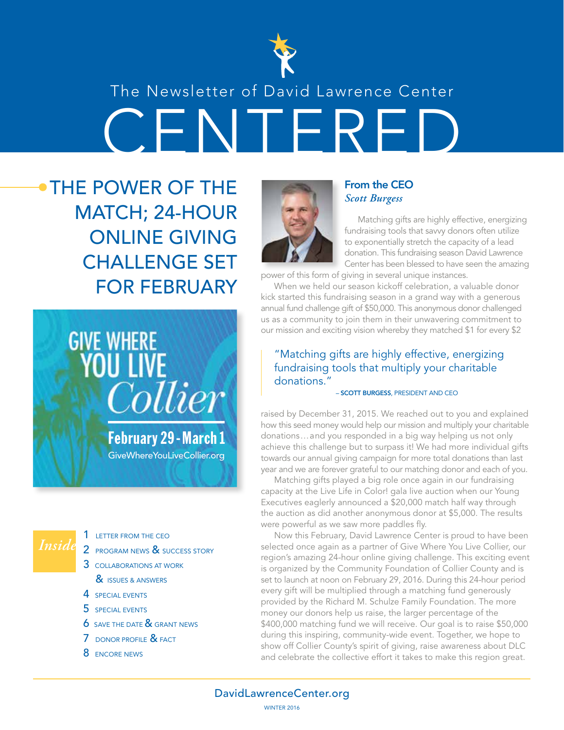

## The Newsletter of David Lawrence Center

CENTERED

THE POWER OF THE MATCH; 24-HOUR ONLINE GIVING CHALLENGE SET FOR FEBRUARY



## *Inside*

- 1 LETTER FROM THE CEO
- 2 PROGRAM NEWS & SUCCESS STORY
- 3 COLLABORATIONS AT WORK & **ISSUES & ANSWERS**
- 4 SPECIAL EVENTS
- 5 SPECIAL EVENTS
- **6** SAVE THE DATE & GRANT NEWS
- 7 DONOR PROFILE & FACT
- 8 ENCORE NEWS



#### From the CEO *Scott Burgess*

Matching gifts are highly effective, energizing fundraising tools that savvy donors often utilize to exponentially stretch the capacity of a lead donation. This fundraising season David Lawrence Center has been blessed to have seen the amazing

power of this form of giving in several unique instances.

When we held our season kickoff celebration, a valuable donor kick started this fundraising season in a grand way with a generous annual fund challenge gift of \$50,000. This anonymous donor challenged us as a community to join them in their unwavering commitment to our mission and exciting vision whereby they matched \$1 for every \$2

#### "Matching gifts are highly effective, energizing fundraising tools that multiply your charitable donations."

#### – SCOTT BURGESS, PRESIDENT AND CEO

raised by December 31, 2015. We reached out to you and explained how this seed money would help our mission and multiply your charitable donations…and you responded in a big way helping us not only achieve this challenge but to surpass it! We had more individual gifts towards our annual giving campaign for more total donations than last year and we are forever grateful to our matching donor and each of you.

Matching gifts played a big role once again in our fundraising capacity at the Live Life in Color! gala live auction when our Young Executives eaglerly announced a \$20,000 match half way through the auction as did another anonymous donor at \$5,000. The results were powerful as we saw more paddles fly.

Now this February, David Lawrence Center is proud to have been selected once again as a partner of Give Where You Live Collier, our region's amazing 24-hour online giving challenge. This exciting event is organized by the Community Foundation of Collier County and is set to launch at noon on February 29, 2016. During this 24-hour period every gift will be multiplied through a matching fund generously provided by the Richard M. Schulze Family Foundation. The more money our donors help us raise, the larger percentage of the \$400,000 matching fund we will receive. Our goal is to raise \$50,000 during this inspiring, community-wide event. Together, we hope to show off Collier County's spirit of giving, raise awareness about DLC and celebrate the collective effort it takes to make this region great.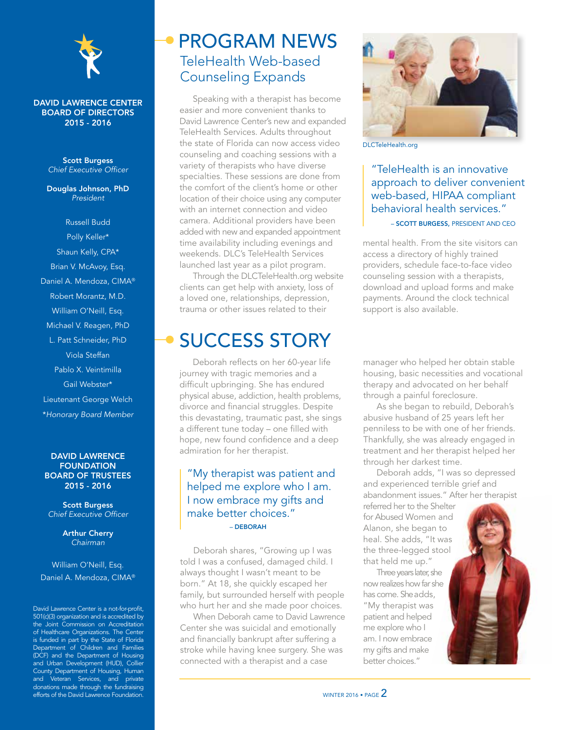

#### DAVID LAWRENCE CENTER BOARD OF DIRECTORS 2015 - 2016

Scott Burgess *Chief Executive Officer*

Douglas Johnson, PhD *President*

Russell Budd Polly Keller\* Shaun Kelly, CPA\* Brian V. McAvoy, Esq. Daniel A. Mendoza, CIMA® Robert Morantz, M.D. William O'Neill, Esq. Michael V. Reagen, PhD L. Patt Schneider, PhD Viola Steffan Pablo X. Veintimilla Gail Webster\* Lieutenant George Welch \**Honorary Board Member*

#### DAVID LAWRENCE **FOUNDATION** BOARD OF TRUSTEES 2015 - 2016

Scott Burgess *Chief Executive Officer*

> Arthur Cherry *Chairman*

#### William O'Neill, Esq. Daniel A. Mendoza, CIMA®

David Lawrence Center is a not-for-profit, 501(c)(3) organization and is accredited by the Joint Commission on Accreditation of Healthcare Organizations. The Center is funded in part by the State of Florida Department of Children and Families (DCF) and the Department of Housing and Urban Development (HUD), Collier County Department of Housing, Human and Veteran Services, and private donations made through the fundraising efforts of the David Lawrence Foundation.

## TeleHealth Web-based Counseling Expands PROGRAM NEWS

Speaking with a therapist has become easier and more convenient thanks to David Lawrence Center's new and expanded TeleHealth Services. Adults throughout the state of Florida can now access video counseling and coaching sessions with a variety of therapists who have diverse specialties. These sessions are done from the comfort of the client's home or other location of their choice using any computer with an internet connection and video camera. Additional providers have been added with new and expanded appointment time availability including evenings and weekends. DLC's TeleHealth Services launched last year as a pilot program.

Through the DLCTeleHealth.org website clients can get help with anxiety, loss of a loved one, relationships, depression, trauma or other issues related to their

## SUCCESS STORY

Deborah reflects on her 60-year life journey with tragic memories and a difficult upbringing. She has endured physical abuse, addiction, health problems, divorce and financial struggles. Despite this devastating, traumatic past, she sings a different tune today – one filled with hope, new found confidence and a deep admiration for her therapist.

#### "My therapist was patient and helped me explore who I am. I now embrace my gifts and make better choices." – DEBORAH

Deborah shares, "Growing up I was told I was a confused, damaged child. I always thought I wasn't meant to be born." At 18, she quickly escaped her family, but surrounded herself with people who hurt her and she made poor choices.

When Deborah came to David Lawrence Center she was suicidal and emotionally and financially bankrupt after suffering a stroke while having knee surgery. She was connected with a therapist and a case



DLCTeleHealth.org

"TeleHealth is an innovative approach to deliver convenient web-based, HIPAA compliant behavioral health services." – SCOTT BURGESS, PRESIDENT AND CEO

mental health. From the site visitors can access a directory of highly trained providers, schedule face-to-face video counseling session with a therapists, download and upload forms and make payments. Around the clock technical support is also available.

manager who helped her obtain stable housing, basic necessities and vocational therapy and advocated on her behalf through a painful foreclosure.

As she began to rebuild, Deborah's abusive husband of 25 years left her penniless to be with one of her friends. Thankfully, she was already engaged in treatment and her therapist helped her through her darkest time.

Deborah adds, "I was so depressed and experienced terrible grief and abandonment issues." After her therapist

referred her to the Shelter for Abused Women and Alanon, she began to heal. She adds, "It was the three-legged stool that held me up."

Three years later, she now realizes how far she has come. She adds, "My therapist was patient and helped me explore who I am. I now embrace my gifts and make better choices."

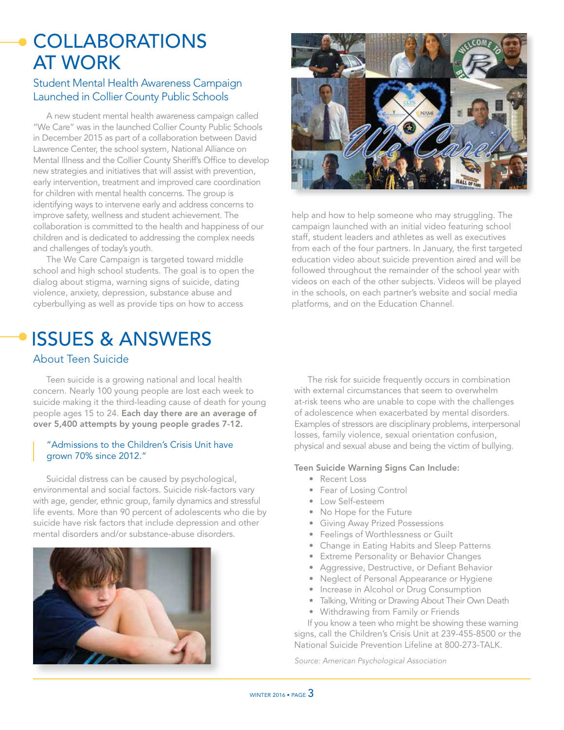## **COLLABORATIONS** AT WORK

#### Student Mental Health Awareness Campaign Launched in Collier County Public Schools

A new student mental health awareness campaign called "We Care" was in the launched Collier County Public Schools in December 2015 as part of a collaboration between David Lawrence Center, the school system, National Alliance on Mental Illness and the Collier County Sheriff's Office to develop new strategies and initiatives that will assist with prevention, early intervention, treatment and improved care coordination for children with mental health concerns. The group is identifying ways to intervene early and address concerns to improve safety, wellness and student achievement. The collaboration is committed to the health and happiness of our children and is dedicated to addressing the complex needs and challenges of today's youth.

The We Care Campaign is targeted toward middle school and high school students. The goal is to open the dialog about stigma, warning signs of suicide, dating violence, anxiety, depression, substance abuse and cyberbullying as well as provide tips on how to access

## ISSUES & ANSWERS

#### About Teen Suicide

Teen suicide is a growing national and local health concern. Nearly 100 young people are lost each week to suicide making it the third-leading cause of death for young people ages 15 to 24. Each day there are an average of over 5,400 attempts by young people grades 7-12.

#### "Admissions to the Children's Crisis Unit have grown 70% since 2012."

Suicidal distress can be caused by psychological, environmental and social factors. Suicide risk-factors vary with age, gender, ethnic group, family dynamics and stressful life events. More than 90 percent of adolescents who die by suicide have risk factors that include depression and other mental disorders and/or substance-abuse disorders.





help and how to help someone who may struggling. The campaign launched with an initial video featuring school staff, student leaders and athletes as well as executives from each of the four partners. In January, the first targeted education video about suicide prevention aired and will be followed throughout the remainder of the school year with videos on each of the other subjects. Videos will be played in the schools, on each partner's website and social media platforms, and on the Education Channel.

The risk for suicide frequently occurs in combination with external circumstances that seem to overwhelm at-risk teens who are unable to cope with the challenges of adolescence when exacerbated by mental disorders. Examples of stressors are disciplinary problems, interpersonal losses, family violence, sexual orientation confusion, physical and sexual abuse and being the victim of bullying.

#### Teen Suicide Warning Signs Can Include:

- Recent Loss
- Fear of Losing Control
- Low Self-esteem
- No Hope for the Future
- Giving Away Prized Possessions
- Feelings of Worthlessness or Guilt
- Change in Eating Habits and Sleep Patterns
- Extreme Personality or Behavior Changes
- Aggressive, Destructive, or Defiant Behavior
- Neglect of Personal Appearance or Hygiene
- Increase in Alcohol or Drug Consumption
- Talking, Writing or Drawing About Their Own Death
- Withdrawing from Family or Friends

If you know a teen who might be showing these warning signs, call the Children's Crisis Unit at 239-455-8500 or the National Suicide Prevention Lifeline at 800-273-TALK.

*Source: American Psychological Association*

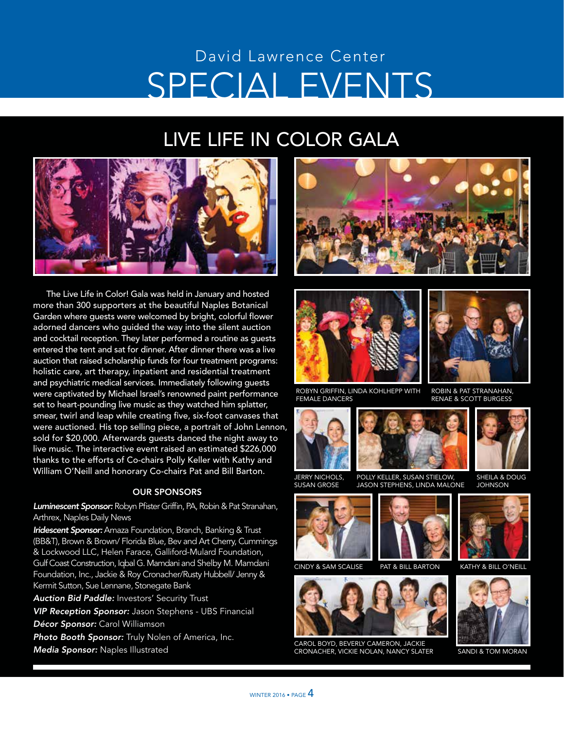## SPECIAL EVENTS David Lawrence Center

## LIVE LIFE IN COLOR GALA



The Live Life in Color! Gala was held in January and hosted more than 300 supporters at the beautiful Naples Botanical Garden where guests were welcomed by bright, colorful flower adorned dancers who guided the way into the silent auction and cocktail reception. They later performed a routine as guests entered the tent and sat for dinner. After dinner there was a live auction that raised scholarship funds for four treatment programs: holistic care, art therapy, inpatient and residential treatment and psychiatric medical services. Immediately following guests were captivated by Michael Israel's renowned paint performance set to heart-pounding live music as they watched him splatter, smear, twirl and leap while creating five, six-foot canvases that were auctioned. His top selling piece, a portrait of John Lennon, sold for \$20,000. Afterwards quests danced the night away to live music. The interactive event raised an estimated \$226,000 thanks to the efforts of Co-chairs Polly Keller with Kathy and William O'Neill and honorary Co-chairs Pat and Bill Barton.

#### OUR SPONSORS

*Luminescent Sponsor:* Robyn Pfister Griffin, PA, Robin & Pat Stranahan, Arthrex, Naples Daily News

*Iridescent Sponsor:* Amaza Foundation, Branch, Banking & Trust (BB&T), Brown & Brown/ Florida Blue, Bev and Art Cherry, Cummings & Lockwood LLC, Helen Farace, Galliford-Mulard Foundation, Gulf Coast Construction, Iqbal G. Mamdani and Shelby M. Mamdani Foundation, Inc., Jackie & Roy Cronacher/Rusty Hubbell/ Jenny & Kermit Sutton, Sue Lennane, Stonegate Bank

*Auction Bid Paddle:* Investors' Security Trust

*VIP Reception Sponsor:* Jason Stephens - UBS Financial

*Décor Sponsor:* Carol Williamson

*Photo Booth Sponsor:* Truly Nolen of America, Inc.

*Media Sponsor:* Naples Illustrated





ROBYN GRIFFIN, LINDA KOHLHEPP WITH FEMALE DANCERS



JERRY NICHOLS,



SUSAN GROSE POLLY KELLER, SUSAN STIELOW, JASON STEPHENS, LINDA MALONE





CAROL BOYD, BEVERLY CAMERON, JACKIE CRONACHER, VICKIE NOLAN, NANCY SLATER SANDI & TOM MORAN



ROBIN & PAT STRANAHAN, RENAE & SCOTT BURGESS



SHEILA & DOUG JOHNSON



CINDY & SAM SCALISE PAT & BILL BARTON KATHY & BILL O'NEILL



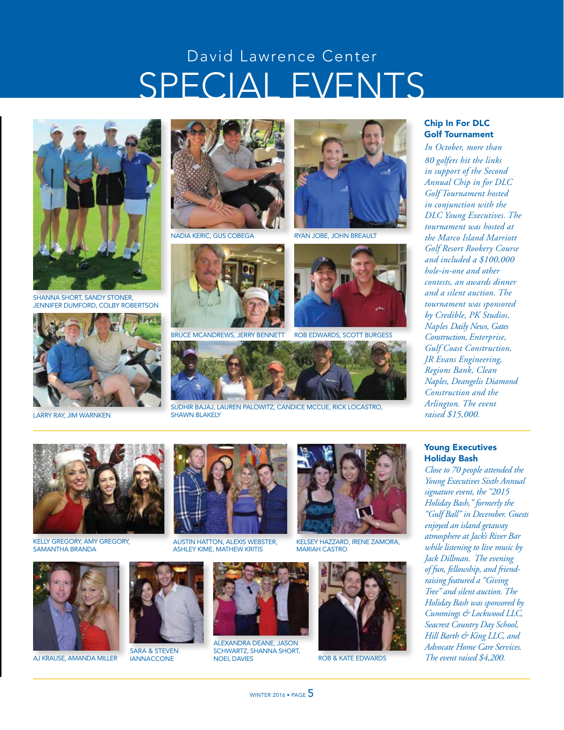## SPECIAL EVENTS David Lawrence Center



SHANNA SHORT, SANDY STONER, JENNIFER DUMFORD, COLBY ROBERTSON



LARRY RAY, JIM WARNKEN



NADIA KERIC, GUS COBEGA



BRUCE MCANDREWS, JERRY BENNETT ROB EDWARDS, SCOTT BURGESS



SUDHIR BAJAJ, LAUREN PALOWITZ, CANDICE MCCUE, RICK LOCASTRO, SHAWN BLAKELY



RYAN JOBE, JOHN BREAULT





#### Chip In For DLC Golf Tournament

*In October, more than 80 golfers hit the links in support of the Second Annual Chip in for DLC Golf Tournament hosted in conjunction with the DLC Young Executives. The tournament was hosted at the Marco Island Marriott Golf Resort Rookery Course and included a \$100,000 hole-in-one and other contests, an awards dinner and a silent auction. The tournament was sponsored by Credible, PK Studios, Naples Daily News, Gates Construction, Enterprise, Gulf Coast Construction, JR Evans Engineering, Regions Bank, Clean Naples, Deangelis Diamond Construction and the Arlington. The event raised \$15,000.*

#### Young Executives Holiday Bash

*Close to 70 people attended the Young Executives Sixth Annual signature event, the "2015 Holiday Bash," formerly the "Gulf Ball" in December. Guests enjoyed an island getaway atmosphere at Jack's River Bar while listening to live music by Jack Dillman. The evening of fun, fellowship, and friendraising featured a "Giving Tree" and silent auction. The Holiday Bash was sponsored by Cummings & Lockwood LLC, Seacrest Country Day School, Hill Barth & King LLC, and Advocate Home Care Services. The event raised \$4,200.*



KELLY GREGORY, AMY GREGORY, SAMANTHA BRANDA



AJ KRAUSE, AMANDA MILLER



SARA & STEVEN **IANNACCONE** 



AUSTIN HATTON, ALEXIS WEBSTER, ASHLEY KIME, MATHEW KRITIS



ALEXANDRA DEANE, JASON SCHWARTZ, SHANNA SHORT,<br>NOEL DAVIES



KELSEY HAZZARD, IRENE ZAMORA, MARIAH CASTRO



ROB & KATE EDWARDS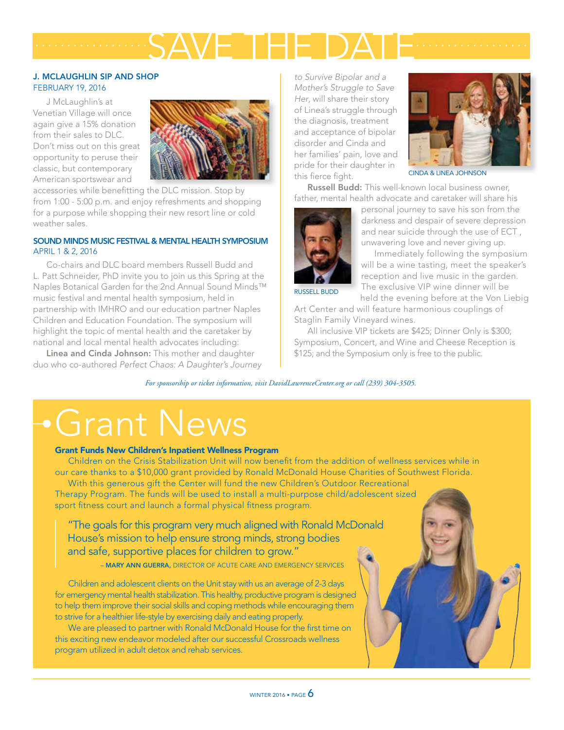# SAVE THE DATE *.................. ..................*

#### J. MCLAUGHLIN SIP AND SHOP FEBRUARY 19, 2016

J McLaughlin's at Venetian Village will once again give a 15% donation from their sales to DLC. Don't miss out on this great opportunity to peruse their classic, but contemporary American sportswear and



accessories while benefitting the DLC mission. Stop by from 1:00 - 5:00 p.m. and enjoy refreshments and shopping for a purpose while shopping their new resort line or cold weather sales.

#### SOUND MINDS MUSIC FESTIVAL & MENTAL HEALTH SYMPOSIUM APRIL 1 & 2, 2016

Co-chairs and DLC board members Russell Budd and L. Patt Schneider, PhD invite you to join us this Spring at the Naples Botanical Garden for the 2nd Annual Sound Minds™ music festival and mental health symposium, held in partnership with IMHRO and our education partner Naples Children and Education Foundation. The symposium will highlight the topic of mental health and the caretaker by national and local mental health advocates including:

Linea and Cinda Johnson: This mother and daughter duo who co-authored *Perfect Chaos: A Daughter's Journey* 

*to Survive Bipolar and a Mother's Struggle to Save Her*, will share their story of Linea's struggle through the diagnosis, treatment and acceptance of bipolar disorder and Cinda and her families' pain, love and pride for their daughter in this fierce fight.



CINDA & LINEA JOHNSON

Russell Budd: This well-known local business owner, father, mental health advocate and caretaker will share his



personal journey to save his son from the darkness and despair of severe depression and near suicide through the use of ECT , unwavering love and never giving up.

Immediately following the symposium will be a wine tasting, meet the speaker's reception and live music in the garden. The exclusive VIP wine dinner will be held the evening before at the Von Liebig

RUSSELL BUDD

Art Center and will feature harmonious couplings of Staglin Family Vineyard wines.

All inclusive VIP tickets are \$425; Dinner Only is \$300; Symposium, Concert, and Wine and Cheese Reception is \$125; and the Symposium only is free to the public.

*For sponsorship or ticket information, visit DavidLawrenceCenter.org or call (239) 304-3505.*

# Grant News

#### Grant Funds New Children's Inpatient Wellness Program

Children on the Crisis Stabilization Unit will now benefit from the addition of wellness services while in our care thanks to a \$10,000 grant provided by Ronald McDonald House Charities of Southwest Florida.

With this generous gift the Center will fund the new Children's Outdoor Recreational Therapy Program. The funds will be used to install a multi-purpose child/adolescent sized sport fitness court and launch a formal physical fitness program.

"The goals for this program very much aligned with Ronald McDonald House's mission to help ensure strong minds, strong bodies and safe, supportive places for children to grow."

– MARY ANN GUERRA, DIRECTOR OF ACUTE CARE AND EMERGENCY SERVICES

Children and adolescent clients on the Unit stay with us an average of 2-3 days for emergency mental health stabilization. This healthy, productive program is designed to help them improve their social skills and coping methods while encouraging them to strive for a healthier life-style by exercising daily and eating properly.

We are pleased to partner with Ronald McDonald House for the first time on this exciting new endeavor modeled after our successful Crossroads wellness program utilized in adult detox and rehab services.

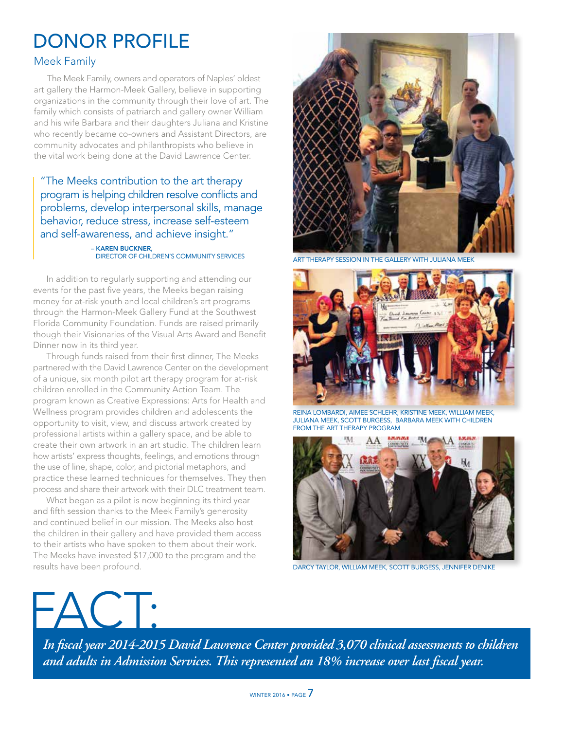## DONOR PROFILE

#### Meek Family

The Meek Family, owners and operators of Naples' oldest art gallery the Harmon-Meek Gallery, believe in supporting organizations in the community through their love of art. The family which consists of patriarch and gallery owner William and his wife Barbara and their daughters Juliana and Kristine who recently became co-owners and Assistant Directors, are community advocates and philanthropists who believe in the vital work being done at the David Lawrence Center.

"The Meeks contribution to the art therapy program is helping children resolve conflicts and problems, develop interpersonal skills, manage behavior, reduce stress, increase self-esteem and self-awareness, and achieve insight."

### – KAREN BUCKNER,<br>DIRECTOR OF CHILDREN'S COMMUNITY SERVICES

In addition to regularly supporting and attending our events for the past five years, the Meeks began raising money for at-risk youth and local children's art programs through the Harmon-Meek Gallery Fund at the Southwest Florida Community Foundation. Funds are raised primarily though their Visionaries of the Visual Arts Award and Benefit Dinner now in its third year.

Through funds raised from their first dinner, The Meeks partnered with the David Lawrence Center on the development of a unique, six month pilot art therapy program for at-risk children enrolled in the Community Action Team. The program known as Creative Expressions: Arts for Health and Wellness program provides children and adolescents the opportunity to visit, view, and discuss artwork created by professional artists within a gallery space, and be able to create their own artwork in an art studio. The children learn how artists' express thoughts, feelings, and emotions through the use of line, shape, color, and pictorial metaphors, and practice these learned techniques for themselves. They then process and share their artwork with their DLC treatment team.

What began as a pilot is now beginning its third year and fifth session thanks to the Meek Family's generosity and continued belief in our mission. The Meeks also host the children in their gallery and have provided them access to their artists who have spoken to them about their work. The Meeks have invested \$17,000 to the program and the results have been profound.



ART THERAPY SESSION IN THE GALLERY WITH JULIANA MEEK



REINA LOMBARDI, AIMEE SCHLEHR, KRISTINE MEEK, WILLIAM MEEK, JULIANA MEEK, SCOTT BURGESS, BARBARA MEEK WITH CHILDREN FROM THE ART THERAPY PROGRAM



DARCY TAYLOR, WILLIAM MEEK, SCOTT BURGESS, JENNIFER DENIKE



*In fiscal year 2014-2015 David Lawrence Center provided 3,070 clinical assessments to children and adults in Admission Services. This represented an 18% increase over last fiscal year.*